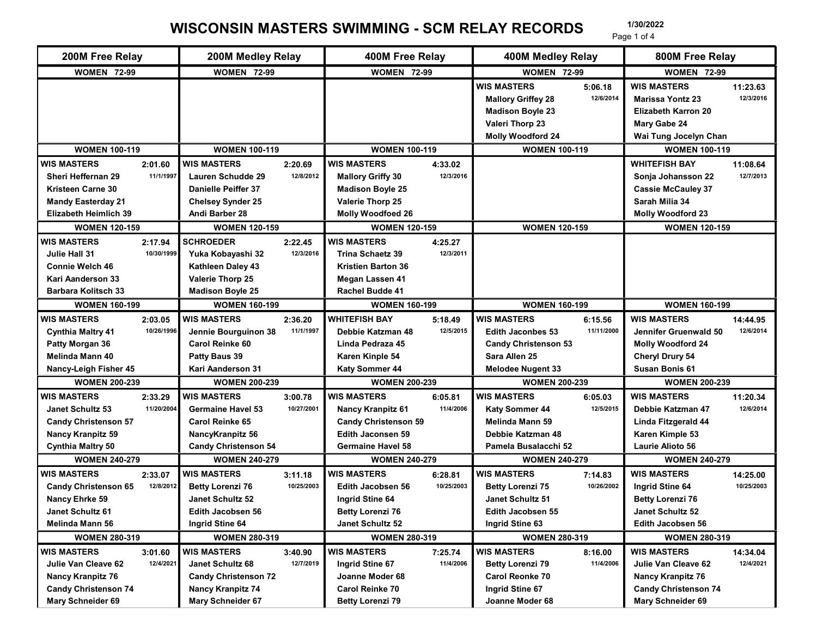## WISCONSIN MASTERS SWIMMING - SCM RELAY RECORDS 1/30/2022

| 200M Free Relay                                         |                       | 200M Medley Relay                           |                       | 400M Free Relay                                      |                       | 400M Medley Relay                                  |                       | 800M Free Relay                               |                        |
|---------------------------------------------------------|-----------------------|---------------------------------------------|-----------------------|------------------------------------------------------|-----------------------|----------------------------------------------------|-----------------------|-----------------------------------------------|------------------------|
| <b>WOMEN 72-99</b>                                      |                       | <b>WOMEN 72-99</b>                          |                       | <b>WOMEN 72-99</b>                                   |                       | <b>WOMEN 72-99</b>                                 |                       | <b>WOMEN 72-99</b>                            |                        |
|                                                         |                       |                                             |                       |                                                      |                       | <b>WIS MASTERS</b><br><b>Mallory Griffey 28</b>    | 5:06.18<br>12/6/2014  | <b>WIS MASTERS</b><br><b>Marissa Yontz 23</b> | 11:23.63<br>12/3/2016  |
|                                                         |                       |                                             |                       |                                                      |                       | <b>Madison Boyle 23</b><br>Valeri Thorp 23         |                       | <b>Elizabeth Karron 20</b><br>Mary Gabe 24    |                        |
|                                                         |                       |                                             |                       |                                                      |                       | <b>Molly Woodford 24</b>                           |                       | Wai Tung Jocelyn Chan                         |                        |
| <b>WOMEN 100-119</b>                                    |                       | <b>WOMEN 100-119</b>                        |                       | <b>WOMEN 100-119</b>                                 |                       | <b>WOMEN 100-119</b>                               |                       | <b>WOMEN 100-119</b>                          |                        |
| <b>WIS MASTERS</b>                                      | 2:01.60               | <b>WIS MASTERS</b>                          | 2:20.69               | <b>WIS MASTERS</b>                                   | 4:33.02               |                                                    |                       | <b>WHITEFISH BAY</b>                          | 11:08.64               |
| Sheri Heffernan 29                                      | 11/1/1997             | <b>Lauren Schudde 29</b>                    | 12/8/2012             | <b>Mallory Griffy 30</b>                             | 12/3/2016             |                                                    |                       | Sonja Johansson 22                            | 12/7/2013              |
| <b>Kristeen Carne 30</b>                                |                       | <b>Danielle Peiffer 37</b>                  |                       | <b>Madison Boyle 25</b>                              |                       |                                                    |                       | <b>Cassie McCauley 37</b>                     |                        |
| <b>Mandy Easterday 21</b>                               |                       | <b>Chelsey Synder 25</b>                    |                       | Valerie Thorp 25                                     |                       |                                                    |                       | Sarah Milia 34                                |                        |
| <b>Elizabeth Heimlich 39</b>                            |                       | Andi Barber 28                              |                       | <b>Molly Woodfoed 26</b>                             |                       |                                                    |                       | <b>Molly Woodford 23</b>                      |                        |
| <b>WOMEN 120-159</b>                                    |                       | <b>WOMEN 120-159</b>                        |                       | <b>WOMEN 120-159</b>                                 |                       | <b>WOMEN 120-159</b>                               |                       | <b>WOMEN 120-159</b>                          |                        |
| <b>WIS MASTERS</b>                                      | 2:17.94<br>10/30/1999 | <b>SCHROEDER</b>                            | 2:22.45<br>12/3/2016  | <b>WIS MASTERS</b>                                   | 4:25.27<br>12/3/2011  |                                                    |                       |                                               |                        |
| Julie Hall 31<br><b>Connie Welch 46</b>                 |                       | Yuka Kobayashi 32<br>Kathleen Daley 43      |                       | <b>Trina Schaetz 39</b><br><b>Kristien Barton 36</b> |                       |                                                    |                       |                                               |                        |
| Kari Aanderson 33                                       |                       | Valerie Thorp 25                            |                       | Megan Lassen 41                                      |                       |                                                    |                       |                                               |                        |
| <b>Barbara Kolitsch 33</b>                              |                       | <b>Madison Boyle 25</b>                     |                       | Rachel Budde 41                                      |                       |                                                    |                       |                                               |                        |
| <b>WOMEN 160-199</b>                                    |                       | <b>WOMEN 160-199</b>                        |                       | <b>WOMEN 160-199</b>                                 |                       | <b>WOMEN 160-199</b>                               |                       | <b>WOMEN 160-199</b>                          |                        |
| <b>WIS MASTERS</b>                                      | 2:03.05               | <b>WIS MASTERS</b>                          | 2:36.20               | <b>WHITEFISH BAY</b>                                 | 5:18.49               | <b>WIS MASTERS</b>                                 | 6:15.56               | <b>WIS MASTERS</b>                            | 14:44.95               |
| <b>Cynthia Maltry 41</b>                                | 10/26/1996            | Jennie Bourguinon 38                        | 11/1/1997             | Debbie Katzman 48                                    | 12/5/2015             | Edith Jaconbes 53                                  | 11/11/2000            | Jennifer Gruenwald 50                         | 12/6/2014              |
| Patty Morgan 36                                         |                       | Carol Reinke 60                             |                       | Linda Pedraza 45                                     |                       | <b>Candy Christenson 53</b>                        |                       | <b>Molly Woodford 24</b>                      |                        |
| Melinda Mann 40                                         |                       | Patty Baus 39                               |                       | Karen Kinple 54                                      |                       | Sara Allen 25                                      |                       | <b>Cheryl Drury 54</b>                        |                        |
| Nancy-Leigh Fisher 45                                   |                       | Kari Aanderson 31                           |                       | Katy Sommer 44                                       |                       | <b>Melodee Nugent 33</b>                           |                       | <b>Susan Bonis 61</b>                         |                        |
| <b>WOMEN 200-239</b>                                    |                       | <b>WOMEN 200-239</b>                        |                       | <b>WOMEN 200-239</b>                                 |                       | <b>WOMEN 200-239</b>                               |                       | <b>WOMEN 200-239</b>                          |                        |
| <b>WIS MASTERS</b>                                      | 2:33.29               | <b>WIS MASTERS</b>                          | 3:00.78               | <b>WIS MASTERS</b>                                   | 6:05.81               | <b>WIS MASTERS</b>                                 | 6:05.03               | <b>WIS MASTERS</b>                            | 11:20.34               |
| Janet Schultz 53                                        | 11/20/2004            | <b>Germaine Havel 53</b>                    | 10/27/2001            | <b>Nancy Kranpitz 61</b>                             | 11/4/2006             | Katy Sommer 44                                     | 12/5/2015             | Debbie Katzman 47                             | 12/6/2014              |
| <b>Candy Christenson 57</b>                             |                       | <b>Carol Reinke 65</b>                      |                       | <b>Candy Christenson 59</b>                          |                       | Melinda Mann 59                                    |                       | Linda Fitzgerald 44                           |                        |
| <b>Nancy Kranpitz 59</b>                                |                       | NancyKranpitz 56                            |                       | <b>Edith Jaconsen 59</b>                             |                       | Debbie Katzman 48                                  |                       | Karen Kimple 53                               |                        |
| <b>Cynthia Maltry 50</b>                                |                       | <b>Candy Christenson 54</b>                 |                       | <b>Germaine Havel 58</b>                             |                       | Pamela Busalacchi 52                               |                       | Laurie Alioto 56                              |                        |
| <b>WOMEN 240-279</b>                                    |                       | <b>WOMEN 240-279</b>                        |                       | <b>WOMEN 240-279</b>                                 |                       | <b>WOMEN 240-279</b>                               |                       | <b>WOMEN 240-279</b>                          |                        |
| <b>WIS MASTERS</b>                                      | 2:33.07<br>12/8/2012  | <b>WIS MASTERS</b>                          | 3:11.18<br>10/25/2003 | <b>WIS MASTERS</b>                                   | 6:28.81<br>10/25/2003 | <b>WIS MASTERS</b>                                 | 7:14.83<br>10/26/2002 | <b>WIS MASTERS</b>                            | 14:25.00<br>10/25/2003 |
| <b>Candy Christenson 65</b><br>Nancy Ehrke 59           |                       | <b>Betty Lorenzi 76</b><br>Janet Schultz 52 |                       | <b>Edith Jacobsen 56</b><br>Ingrid Stine 64          |                       | <b>Betty Lorenzi 75</b><br><b>Janet Schultz 51</b> |                       | Ingrid Stine 64<br><b>Betty Lorenzi 76</b>    |                        |
| Janet Schultz 61                                        |                       | Edith Jacobsen 56                           |                       | <b>Betty Lorenzi 76</b>                              |                       | Edith Jacobsen 55                                  |                       | Janet Schultz 52                              |                        |
| <b>Melinda Mann 56</b>                                  |                       | Ingrid Stine 64                             |                       | Janet Schultz 52                                     |                       | Ingrid Stine 63                                    |                       | Edith Jacobsen 56                             |                        |
| <b>WOMEN 280-319</b>                                    |                       | <b>WOMEN 280-319</b>                        |                       | <b>WOMEN 280-319</b>                                 |                       | <b>WOMEN 280-319</b>                               |                       | <b>WOMEN 280-319</b>                          |                        |
| <b>WIS MASTERS</b>                                      | 3:01.60               | <b>WIS MASTERS</b>                          | 3:40.90               | <b>WIS MASTERS</b>                                   | 7:25.74               | <b>WIS MASTERS</b>                                 | 8:16.00               | <b>WIS MASTERS</b>                            | 14:34.04               |
| Julie Van Cleave 62                                     | 12/4/2021             | Janet Schultz 68                            | 12/7/2019             | Ingrid Stine 67                                      | 11/4/2006             | <b>Betty Lorenzi 79</b>                            | 11/4/2006             | Julie Van Cleave 62                           | 12/4/2021              |
|                                                         |                       | <b>Candy Christenson 72</b>                 |                       | Joanne Moder 68                                      |                       | <b>Carol Reonke 70</b>                             |                       | <b>Nancy Kranpitz 76</b>                      |                        |
|                                                         |                       | <b>Nancy Kranpitz 74</b>                    |                       | Carol Reinke 70                                      |                       | Ingrid Stine 67                                    |                       | <b>Candy Christenson 74</b>                   |                        |
| <b>Nancy Kranpitz 76</b><br><b>Candy Christenson 74</b> |                       |                                             |                       |                                                      |                       |                                                    |                       |                                               |                        |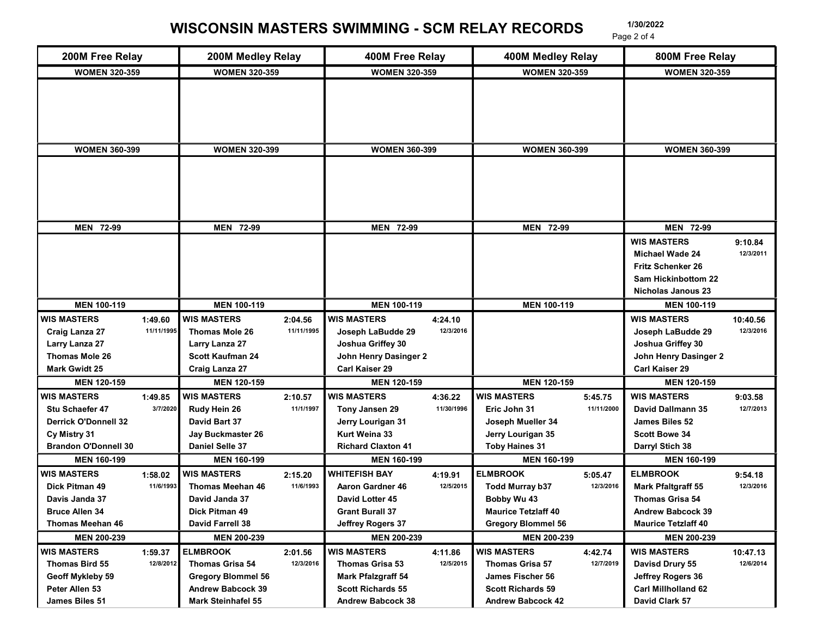## WISCONSIN MASTERS SWIMMING - SCM RELAY RECORDS 1/30/2022 Page 2 of 4

| 200M Free Relay             |            | 200M Medley Relay         |            | 400M Free Relay           |                      | 400M Medley Relay          |            | 800M Free Relay                                  |           |
|-----------------------------|------------|---------------------------|------------|---------------------------|----------------------|----------------------------|------------|--------------------------------------------------|-----------|
| <b>WOMEN 320-359</b>        |            | <b>WOMEN 320-359</b>      |            | <b>WOMEN 320-359</b>      |                      | <b>WOMEN 320-359</b>       |            | <b>WOMEN 320-359</b>                             |           |
|                             |            |                           |            |                           |                      |                            |            |                                                  |           |
|                             |            |                           |            |                           |                      |                            |            |                                                  |           |
|                             |            |                           |            |                           |                      |                            |            |                                                  |           |
|                             |            |                           |            |                           |                      |                            |            |                                                  |           |
| <b>WOMEN 360-399</b>        |            | <b>WOMEN 320-399</b>      |            | <b>WOMEN 360-399</b>      |                      | <b>WOMEN 360-399</b>       |            | <b>WOMEN 360-399</b>                             |           |
|                             |            |                           |            |                           |                      |                            |            |                                                  |           |
|                             |            |                           |            |                           |                      |                            |            |                                                  |           |
|                             |            |                           |            |                           |                      |                            |            |                                                  |           |
|                             |            |                           |            |                           |                      |                            |            |                                                  |           |
|                             |            |                           |            |                           |                      |                            |            |                                                  |           |
| MEN 72-99                   |            | MEN 72-99                 |            | MEN 72-99                 |                      | MEN 72-99                  |            | <b>MEN 72-99</b>                                 |           |
|                             |            |                           |            |                           |                      |                            |            | <b>WIS MASTERS</b>                               | 9:10.84   |
|                             |            |                           |            |                           |                      |                            |            | Michael Wade 24                                  | 12/3/2011 |
|                             |            |                           |            |                           |                      |                            |            | <b>Fritz Schenker 26</b>                         |           |
|                             |            |                           |            |                           |                      |                            |            | Sam Hickinbottom 22<br><b>Nicholas Janous 23</b> |           |
| <b>MEN 100-119</b>          |            | <b>MEN 100-119</b>        |            | MEN 100-119               |                      | MEN 100-119                |            | <b>MEN 100-119</b>                               |           |
| WIS MASTERS                 | 1:49.60    | <b>WIS MASTERS</b>        | 2:04.56    | <b>WIS MASTERS</b>        |                      |                            |            | <b>WIS MASTERS</b>                               | 10:40.56  |
| <b>Craig Lanza 27</b>       | 11/11/1995 | Thomas Mole 26            | 11/11/1995 | Joseph LaBudde 29         | 4:24.10<br>12/3/2016 |                            |            | Joseph LaBudde 29                                | 12/3/2016 |
| Larry Lanza 27              |            | Larry Lanza 27            |            | Joshua Griffey 30         |                      |                            |            | Joshua Griffey 30                                |           |
| Thomas Mole 26              |            | <b>Scott Kaufman 24</b>   |            | John Henry Dasinger 2     |                      |                            |            | John Henry Dasinger 2                            |           |
| <b>Mark Gwidt 25</b>        |            | Craig Lanza 27            |            | Carl Kaiser 29            |                      |                            |            | Carl Kaiser 29                                   |           |
| MEN 120-159                 |            | <b>MEN 120-159</b>        |            | <b>MEN 120-159</b>        |                      | <b>MEN 120-159</b>         |            | <b>MEN 120-159</b>                               |           |
| <b>WIS MASTERS</b>          | 1:49.85    | <b>WIS MASTERS</b>        | 2:10.57    | <b>WIS MASTERS</b>        | 4:36.22              | <b>WIS MASTERS</b>         | 5:45.75    | <b>WIS MASTERS</b>                               | 9:03.58   |
| Stu Schaefer 47             | 3/7/2020   | Rudy Hein 26              | 11/1/1997  | Tony Jansen 29            | 11/30/1996           | Eric John 31               | 11/11/2000 | David Dallmann 35                                | 12/7/2013 |
| <b>Derrick O'Donnell 32</b> |            | David Bart 37             |            | Jerry Lourigan 31         |                      | Joseph Mueller 34          |            | James Biles 52                                   |           |
| Cy Mistry 31                |            | Jay Buckmaster 26         |            | Kurt Weina 33             |                      | Jerry Lourigan 35          |            | <b>Scott Bowe 34</b>                             |           |
| <b>Brandon O'Donnell 30</b> |            | Daniel Selle 37           |            | <b>Richard Claxton 41</b> |                      | <b>Toby Haines 31</b>      |            | Darryl Stich 38                                  |           |
| <b>MEN 160-199</b>          |            | <b>MEN 160-199</b>        |            | <b>MEN 160-199</b>        |                      | <b>MEN 160-199</b>         |            | <b>MEN 160-199</b>                               |           |
| WIS MASTERS                 | 1:58.02    | <b>WIS MASTERS</b>        | 2:15.20    | <b>WHITEFISH BAY</b>      | 4:19.91              | <b>ELMBROOK</b>            | 5:05.47    | <b>ELMBROOK</b>                                  | 9:54.18   |
| Dick Pitman 49              | 11/6/1993  | <b>Thomas Meehan 46</b>   | 11/6/1993  | <b>Aaron Gardner 46</b>   | 12/5/2015            | <b>Todd Murray b37</b>     | 12/3/2016  | <b>Mark Pfaltgraff 55</b>                        | 12/3/2016 |
| Davis Janda 37              |            | David Janda 37            |            | David Lotter 45           |                      | Bobby Wu 43                |            | Thomas Grisa 54                                  |           |
| <b>Bruce Allen 34</b>       |            | Dick Pitman 49            |            | <b>Grant Burall 37</b>    |                      | <b>Maurice Tetzlaff 40</b> |            | <b>Andrew Babcock 39</b>                         |           |
| Thomas Meehan 46            |            | David Farrell 38          |            | Jeffrey Rogers 37         |                      | <b>Gregory Blommel 56</b>  |            | <b>Maurice Tetzlaff 40</b>                       |           |
| <b>MEN 200-239</b>          |            | <b>MEN 200-239</b>        |            | <b>MEN 200-239</b>        |                      | <b>MEN 200-239</b>         |            | <b>MEN 200-239</b>                               |           |
| <b>WIS MASTERS</b>          | 1:59.37    | <b>ELMBROOK</b>           | 2:01.56    | <b>WIS MASTERS</b>        | 4:11.86              | <b>WIS MASTERS</b>         | 4:42.74    | <b>WIS MASTERS</b>                               | 10:47.13  |
| Thomas Bird 55              | 12/8/2012  | Thomas Grisa 54           | 12/3/2016  | <b>Thomas Grisa 53</b>    | 12/5/2015            | Thomas Grisa 57            | 12/7/2019  | Davisd Drury 55                                  | 12/6/2014 |
| Geoff Mykleby 59            |            | <b>Gregory Blommel 56</b> |            | <b>Mark Pfalzgraff 54</b> |                      | James Fischer 56           |            | Jeffrey Rogers 36                                |           |
| Peter Allen 53              |            | <b>Andrew Babcock 39</b>  |            | <b>Scott Richards 55</b>  |                      | <b>Scott Richards 59</b>   |            | <b>Carl Millholland 62</b>                       |           |
| James Biles 51              |            | Mark Steinhafel 55        |            | <b>Andrew Babcock 38</b>  |                      | <b>Andrew Babcock 42</b>   |            | David Clark 57                                   |           |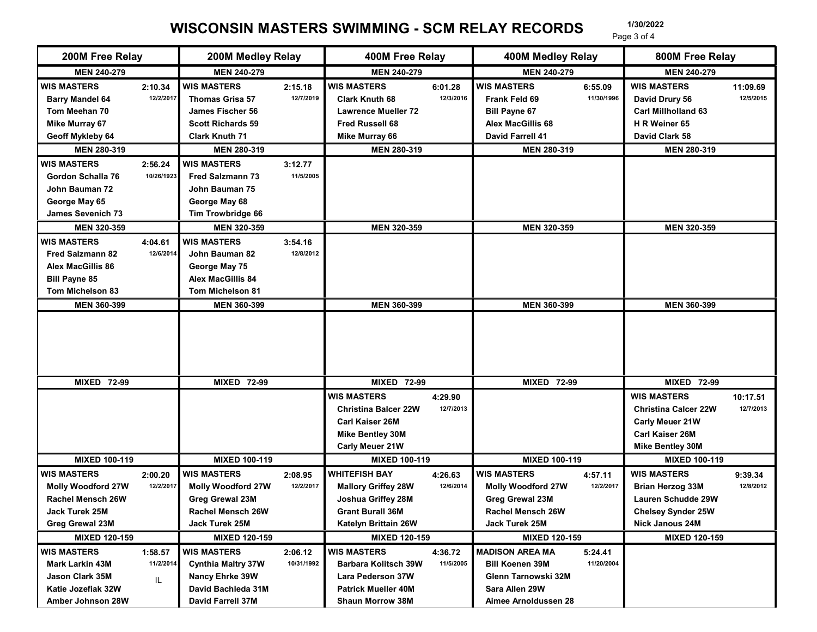## WISCONSIN MASTERS SWIMMING - SCM RELAY RECORDS 1/30/2022

| 200M Free Relay                                                                                                       |                       | 200M Medley Relay                                                                                                    |                      | 400M Free Relay                                                                                                           |                      | 400M Medley Relay                                                                          |                       | Page 3 of 4<br>800M Free Relay                                                                                            |                       |
|-----------------------------------------------------------------------------------------------------------------------|-----------------------|----------------------------------------------------------------------------------------------------------------------|----------------------|---------------------------------------------------------------------------------------------------------------------------|----------------------|--------------------------------------------------------------------------------------------|-----------------------|---------------------------------------------------------------------------------------------------------------------------|-----------------------|
| MEN 240-279                                                                                                           |                       | MEN 240-279                                                                                                          |                      | <b>MEN 240-279</b>                                                                                                        |                      | <b>MEN 240-279</b>                                                                         |                       | <b>MEN 240-279</b>                                                                                                        |                       |
|                                                                                                                       |                       |                                                                                                                      |                      |                                                                                                                           |                      |                                                                                            |                       |                                                                                                                           |                       |
| <b>WIS MASTERS</b><br><b>Barry Mandel 64</b><br>Tom Meehan 70<br><b>Mike Murray 67</b>                                | 2:10.34<br>12/2/2017  | <b>WIS MASTERS</b><br><b>Thomas Grisa 57</b><br>James Fischer 56<br><b>Scott Richards 59</b>                         | 2:15.18<br>12/7/2019 | <b>WIS MASTERS</b><br><b>Clark Knuth 68</b><br><b>Lawrence Mueller 72</b><br><b>Fred Russell 68</b>                       | 6:01.28<br>12/3/2016 | <b>WIS MASTERS</b><br>Frank Feld 69<br><b>Bill Payne 67</b><br><b>Alex MacGillis 68</b>    | 6:55.09<br>11/30/1996 | <b>WIS MASTERS</b><br>David Drury 56<br>Carl Millholland 63<br>H R Weiner 65                                              | 11:09.69<br>12/5/2015 |
| <b>Geoff Mykleby 64</b>                                                                                               |                       | <b>Clark Knuth 71</b>                                                                                                |                      | <b>Mike Murray 66</b>                                                                                                     |                      | <b>David Farrell 41</b>                                                                    |                       | David Clark 58                                                                                                            |                       |
| MEN 280-319                                                                                                           |                       | MEN 280-319                                                                                                          |                      | <b>MEN 280-319</b>                                                                                                        |                      | MEN 280-319                                                                                |                       | MEN 280-319                                                                                                               |                       |
| <b>WIS MASTERS</b><br>Gordon Schalla 76<br>John Bauman 72<br>George May 65<br><b>James Sevenich 73</b><br>MEN 320-359 | 2:56.24<br>10/26/1923 | <b>WIS MASTERS</b><br><b>Fred Salzmann 73</b><br>John Bauman 75<br>George May 68<br>Tim Trowbridge 66<br>MEN 320-359 | 3:12.77<br>11/5/2005 | MEN 320-359                                                                                                               |                      | MEN 320-359                                                                                |                       | MEN 320-359                                                                                                               |                       |
| <b>WIS MASTERS</b><br><b>Fred Salzmann 82</b><br><b>Alex MacGillis 86</b><br><b>Bill Payne 85</b><br>Tom Michelson 83 | 4:04.61<br>12/6/2014  | <b>I</b> WIS MASTERS<br>John Bauman 82<br>George May 75<br><b>Alex MacGillis 84</b><br>Tom Michelson 81              | 3:54.16<br>12/8/2012 |                                                                                                                           |                      |                                                                                            |                       |                                                                                                                           |                       |
| <b>MEN 360-399</b>                                                                                                    |                       | MEN 360-399                                                                                                          |                      | <b>MEN 360-399</b>                                                                                                        |                      | MEN 360-399                                                                                |                       | <b>MEN 360-399</b>                                                                                                        |                       |
| <b>MIXED 72-99</b>                                                                                                    |                       | <b>MIXED 72-99</b>                                                                                                   |                      | <b>MIXED 72-99</b>                                                                                                        |                      | <b>MIXED 72-99</b>                                                                         |                       | <b>MIXED 72-99</b>                                                                                                        |                       |
|                                                                                                                       |                       |                                                                                                                      |                      | <b>WIS MASTERS</b><br><b>Christina Balcer 22W</b><br>Carl Kaiser 26M<br><b>Mike Bentley 30M</b><br><b>Carly Meuer 21W</b> | 4:29.90<br>12/7/2013 |                                                                                            |                       | <b>WIS MASTERS</b><br><b>Christina Calcer 22W</b><br><b>Carly Meuer 21W</b><br>Carl Kaiser 26M<br><b>Mike Bentley 30M</b> | 10:17.51<br>12/7/2013 |
| <b>MIXED 100-119</b>                                                                                                  |                       | MIXED 100-119                                                                                                        |                      | MIXED 100-119                                                                                                             |                      | MIXED 100-119                                                                              |                       | <b>MIXED 100-119</b>                                                                                                      |                       |
| <b>WIS MASTERS</b>                                                                                                    | 2:00.20               | <b>WIS MASTERS</b>                                                                                                   | 2:08.95              | <b>WHITEFISH BAY</b>                                                                                                      | 4:26.63              | <b>WIS MASTERS</b>                                                                         | 4:57.11               | <b>WIS MASTERS</b>                                                                                                        | 9:39.34               |
| <b>Molly Woodford 27W</b><br><b>Rachel Mensch 26W</b><br>Jack Turek 25M<br><b>Greg Grewal 23M</b>                     | 12/2/2017             | <b>Molly Woodford 27W</b><br><b>Greg Grewal 23M</b><br>Rachel Mensch 26W<br>Jack Turek 25M                           | 12/2/2017            | <b>Mallory Griffey 28W</b><br>Joshua Griffey 28M<br><b>Grant Burall 36M</b><br>Katelyn Brittain 26W                       | 12/6/2014            | <b>Molly Woodford 27W</b><br><b>Greg Grewal 23M</b><br>Rachel Mensch 26W<br>Jack Turek 25M | 12/2/2017             | <b>Brian Herzog 33M</b><br>Lauren Schudde 29W<br>Chelsey Synder 25W<br><b>Nick Janous 24M</b>                             | 12/8/2012             |
| MIXED 120-159                                                                                                         |                       | MIXED 120-159                                                                                                        |                      | MIXED 120-159                                                                                                             |                      | MIXED 120-159                                                                              |                       | MIXED 120-159                                                                                                             |                       |
| WIS MASTERS                                                                                                           | 1:58.57               | <b>WIS MASTERS</b>                                                                                                   | 2:06.12              | <b>WIS MASTERS</b>                                                                                                        | 4:36.72              | <b>MADISON AREA MA</b>                                                                     | 5:24.41               |                                                                                                                           |                       |
| Mark Larkin 43M<br>Jason Clark 35M<br>Katie Jozefiak 32W                                                              | 11/2/2014<br>IL.      | <b>Cynthia Maltry 37W</b><br>Nancy Ehrke 39W<br>David Bachleda 31M                                                   | 10/31/1992           | <b>Barbara Kolitsch 39W</b><br><b>Lara Pederson 37W</b><br><b>Patrick Mueller 40M</b>                                     | 11/5/2005            | <b>Bill Koenen 39M</b><br>Glenn Tarnowski 32M<br>Sara Allen 29W                            | 11/20/2004            |                                                                                                                           |                       |
|                                                                                                                       |                       | David Farrell 37M                                                                                                    |                      | Shaun Morrow 38M                                                                                                          |                      | Aimee Arnoldussen 28                                                                       |                       |                                                                                                                           |                       |